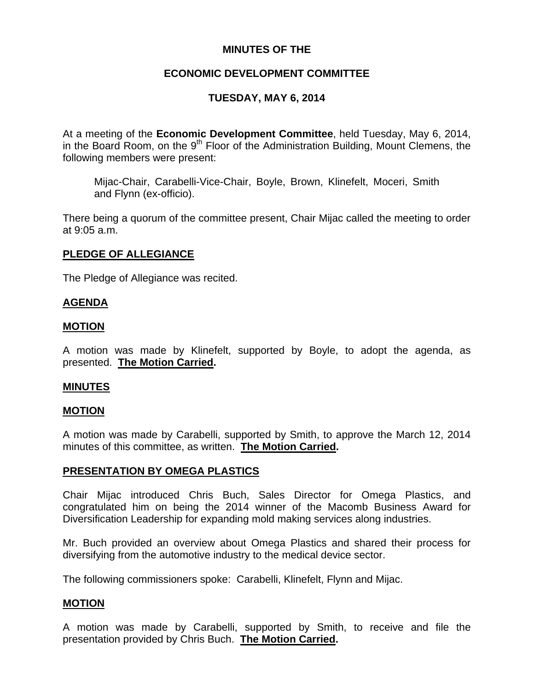## **MINUTES OF THE**

# **ECONOMIC DEVELOPMENT COMMITTEE**

# **TUESDAY, MAY 6, 2014**

At a meeting of the **Economic Development Committee**, held Tuesday, May 6, 2014, in the Board Room, on the  $9<sup>th</sup>$  Floor of the Administration Building, Mount Clemens, the following members were present:

Mijac-Chair, Carabelli-Vice-Chair, Boyle, Brown, Klinefelt, Moceri, Smith and Flynn (ex-officio).

There being a quorum of the committee present, Chair Mijac called the meeting to order at 9:05 a.m.

## **PLEDGE OF ALLEGIANCE**

The Pledge of Allegiance was recited.

### **AGENDA**

#### **MOTION**

A motion was made by Klinefelt, supported by Boyle, to adopt the agenda, as presented. **The Motion Carried.** 

#### **MINUTES**

#### **MOTION**

A motion was made by Carabelli, supported by Smith, to approve the March 12, 2014 minutes of this committee, as written. **The Motion Carried.** 

## **PRESENTATION BY OMEGA PLASTICS**

Chair Mijac introduced Chris Buch, Sales Director for Omega Plastics, and congratulated him on being the 2014 winner of the Macomb Business Award for Diversification Leadership for expanding mold making services along industries.

Mr. Buch provided an overview about Omega Plastics and shared their process for diversifying from the automotive industry to the medical device sector.

The following commissioners spoke: Carabelli, Klinefelt, Flynn and Mijac.

## **MOTION**

A motion was made by Carabelli, supported by Smith, to receive and file the presentation provided by Chris Buch. **The Motion Carried.**